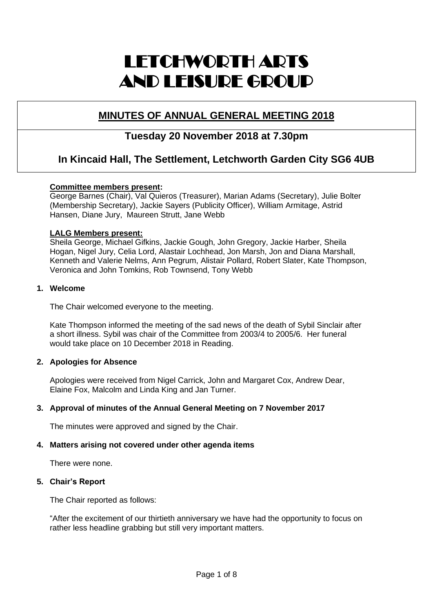# LETCHWORTH ARTS AND LEISURE GROUP

# **MINUTES OF ANNUAL GENERAL MEETING 2018**

# **Tuesday 20 November 2018 at 7.30pm**

# **In Kincaid Hall, The Settlement, Letchworth Garden City SG6 4UB**

# **Committee members present:**

George Barnes (Chair), Val Quieros (Treasurer), Marian Adams (Secretary), Julie Bolter (Membership Secretary), Jackie Sayers (Publicity Officer), William Armitage, Astrid Hansen, Diane Jury, Maureen Strutt, Jane Webb

# **LALG Members present:**

Sheila George, Michael Gifkins, Jackie Gough, John Gregory, Jackie Harber, Sheila Hogan, Nigel Jury, Celia Lord, Alastair Lochhead, Jon Marsh, Jon and Diana Marshall, Kenneth and Valerie Nelms, Ann Pegrum, Alistair Pollard, Robert Slater, Kate Thompson, Veronica and John Tomkins, Rob Townsend, Tony Webb

# **1. Welcome**

The Chair welcomed everyone to the meeting.

Kate Thompson informed the meeting of the sad news of the death of Sybil Sinclair after a short illness. Sybil was chair of the Committee from 2003/4 to 2005/6. Her funeral would take place on 10 December 2018 in Reading.

# **2. Apologies for Absence**

Apologies were received from Nigel Carrick, John and Margaret Cox, Andrew Dear, Elaine Fox, Malcolm and Linda King and Jan Turner.

# **3. Approval of minutes of the Annual General Meeting on 7 November 2017**

The minutes were approved and signed by the Chair.

#### **4. Matters arising not covered under other agenda items**

There were none.

#### **5. Chair's Report**

The Chair reported as follows:

"After the excitement of our thirtieth anniversary we have had the opportunity to focus on rather less headline grabbing but still very important matters.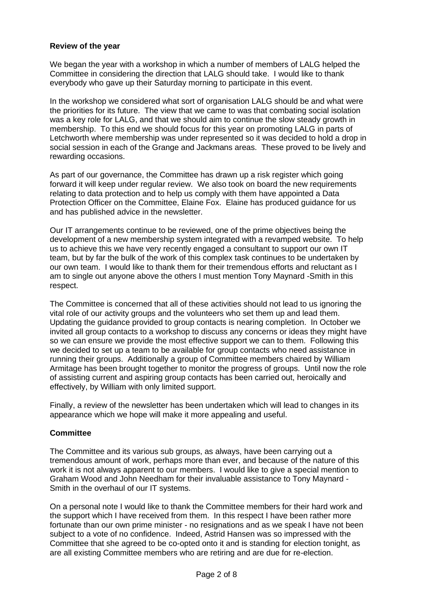#### **Review of the year**

We began the year with a workshop in which a number of members of LALG helped the Committee in considering the direction that LALG should take. I would like to thank everybody who gave up their Saturday morning to participate in this event.

In the workshop we considered what sort of organisation LALG should be and what were the priorities for its future. The view that we came to was that combating social isolation was a key role for LALG, and that we should aim to continue the slow steady growth in membership. To this end we should focus for this year on promoting LALG in parts of Letchworth where membership was under represented so it was decided to hold a drop in social session in each of the Grange and Jackmans areas. These proved to be lively and rewarding occasions.

As part of our governance, the Committee has drawn up a risk register which going forward it will keep under regular review. We also took on board the new requirements relating to data protection and to help us comply with them have appointed a Data Protection Officer on the Committee, Elaine Fox. Elaine has produced guidance for us and has published advice in the newsletter.

Our IT arrangements continue to be reviewed, one of the prime objectives being the development of a new membership system integrated with a revamped website. To help us to achieve this we have very recently engaged a consultant to support our own IT team, but by far the bulk of the work of this complex task continues to be undertaken by our own team. I would like to thank them for their tremendous efforts and reluctant as I am to single out anyone above the others I must mention Tony Maynard -Smith in this respect.

The Committee is concerned that all of these activities should not lead to us ignoring the vital role of our activity groups and the volunteers who set them up and lead them. Updating the guidance provided to group contacts is nearing completion. In October we invited all group contacts to a workshop to discuss any concerns or ideas they might have so we can ensure we provide the most effective support we can to them. Following this we decided to set up a team to be available for group contacts who need assistance in running their groups. Additionally a group of Committee members chaired by William Armitage has been brought together to monitor the progress of groups. Until now the role of assisting current and aspiring group contacts has been carried out, heroically and effectively, by William with only limited support.

Finally, a review of the newsletter has been undertaken which will lead to changes in its appearance which we hope will make it more appealing and useful.

#### **Committee**

The Committee and its various sub groups, as always, have been carrying out a tremendous amount of work, perhaps more than ever, and because of the nature of this work it is not always apparent to our members. I would like to give a special mention to Graham Wood and John Needham for their invaluable assistance to Tony Maynard - Smith in the overhaul of our IT systems.

On a personal note I would like to thank the Committee members for their hard work and the support which I have received from them. In this respect I have been rather more fortunate than our own prime minister - no resignations and as we speak I have not been subject to a vote of no confidence. Indeed, Astrid Hansen was so impressed with the Committee that she agreed to be co-opted onto it and is standing for election tonight, as are all existing Committee members who are retiring and are due for re-election.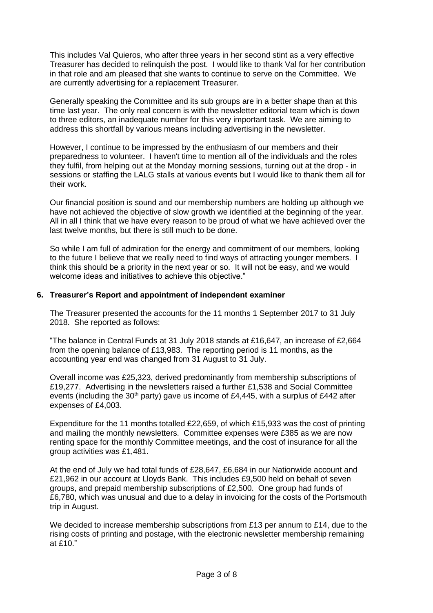This includes Val Quieros, who after three years in her second stint as a very effective Treasurer has decided to relinquish the post. I would like to thank Val for her contribution in that role and am pleased that she wants to continue to serve on the Committee. We are currently advertising for a replacement Treasurer.

Generally speaking the Committee and its sub groups are in a better shape than at this time last year. The only real concern is with the newsletter editorial team which is down to three editors, an inadequate number for this very important task. We are aiming to address this shortfall by various means including advertising in the newsletter.

However, I continue to be impressed by the enthusiasm of our members and their preparedness to volunteer. I haven't time to mention all of the individuals and the roles they fulfil, from helping out at the Monday morning sessions, turning out at the drop - in sessions or staffing the LALG stalls at various events but I would like to thank them all for their work.

Our financial position is sound and our membership numbers are holding up although we have not achieved the objective of slow growth we identified at the beginning of the year. All in all I think that we have every reason to be proud of what we have achieved over the last twelve months, but there is still much to be done.

So while I am full of admiration for the energy and commitment of our members, looking to the future I believe that we really need to find ways of attracting younger members. I think this should be a priority in the next year or so. It will not be easy, and we would welcome ideas and initiatives to achieve this objective."

# **6. Treasurer's Report and appointment of independent examiner**

The Treasurer presented the accounts for the 11 months 1 September 2017 to 31 July 2018. She reported as follows:

"The balance in Central Funds at 31 July 2018 stands at £16,647, an increase of £2,664 from the opening balance of £13,983. The reporting period is 11 months, as the accounting year end was changed from 31 August to 31 July.

Overall income was £25,323, derived predominantly from membership subscriptions of £19,277. Advertising in the newsletters raised a further £1,538 and Social Committee events (including the  $30<sup>th</sup>$  party) gave us income of £4,445, with a surplus of £442 after expenses of £4,003.

Expenditure for the 11 months totalled £22,659, of which £15,933 was the cost of printing and mailing the monthly newsletters. Committee expenses were £385 as we are now renting space for the monthly Committee meetings, and the cost of insurance for all the group activities was £1,481.

At the end of July we had total funds of £28,647, £6,684 in our Nationwide account and £21,962 in our account at Lloyds Bank. This includes £9,500 held on behalf of seven groups, and prepaid membership subscriptions of £2,500. One group had funds of £6,780, which was unusual and due to a delay in invoicing for the costs of the Portsmouth trip in August.

We decided to increase membership subscriptions from £13 per annum to £14, due to the rising costs of printing and postage, with the electronic newsletter membership remaining at £10."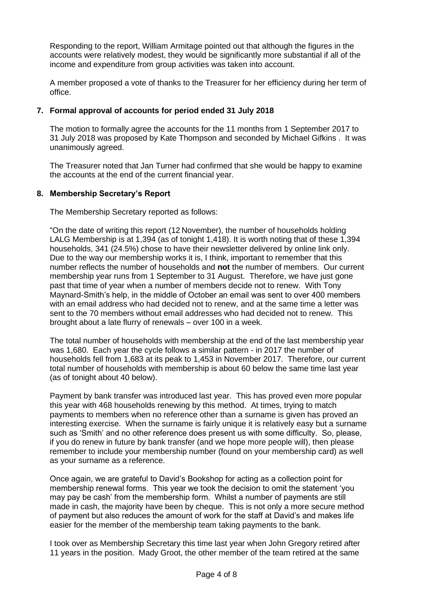Responding to the report, William Armitage pointed out that although the figures in the accounts were relatively modest, they would be significantly more substantial if all of the income and expenditure from group activities was taken into account.

A member proposed a vote of thanks to the Treasurer for her efficiency during her term of office.

# **7. Formal approval of accounts for period ended 31 July 2018**

The motion to formally agree the accounts for the 11 months from 1 September 2017 to 31 July 2018 was proposed by Kate Thompson and seconded by Michael Gifkins . It was unanimously agreed.

The Treasurer noted that Jan Turner had confirmed that she would be happy to examine the accounts at the end of the current financial year.

# **8. Membership Secretary's Report**

The Membership Secretary reported as follows:

"On the date of writing this report (12 November), the number of households holding LALG Membership is at 1,394 (as of tonight 1,418). It is worth noting that of these 1,394 households, 341 (24.5%) chose to have their newsletter delivered by online link only. Due to the way our membership works it is, I think, important to remember that this number reflects the number of households and **not** the number of members. Our current membership year runs from 1 September to 31 August. Therefore, we have just gone past that time of year when a number of members decide not to renew. With Tony Maynard-Smith's help, in the middle of October an email was sent to over 400 members with an email address who had decided not to renew, and at the same time a letter was sent to the 70 members without email addresses who had decided not to renew. This brought about a late flurry of renewals – over 100 in a week.

The total number of households with membership at the end of the last membership year was 1,680. Each year the cycle follows a similar pattern - in 2017 the number of households fell from 1,683 at its peak to 1,453 in November 2017. Therefore, our current total number of households with membership is about 60 below the same time last year (as of tonight about 40 below).

Payment by bank transfer was introduced last year. This has proved even more popular this year with 468 households renewing by this method. At times, trying to match payments to members when no reference other than a surname is given has proved an interesting exercise. When the surname is fairly unique it is relatively easy but a surname such as 'Smith' and no other reference does present us with some difficulty. So, please, if you do renew in future by bank transfer (and we hope more people will), then please remember to include your membership number (found on your membership card) as well as your surname as a reference.

Once again, we are grateful to David's Bookshop for acting as a collection point for membership renewal forms. This year we took the decision to omit the statement 'you may pay be cash' from the membership form. Whilst a number of payments are still made in cash, the majority have been by cheque. This is not only a more secure method of payment but also reduces the amount of work for the staff at David's and makes life easier for the member of the membership team taking payments to the bank.

I took over as Membership Secretary this time last year when John Gregory retired after 11 years in the position. Mady Groot, the other member of the team retired at the same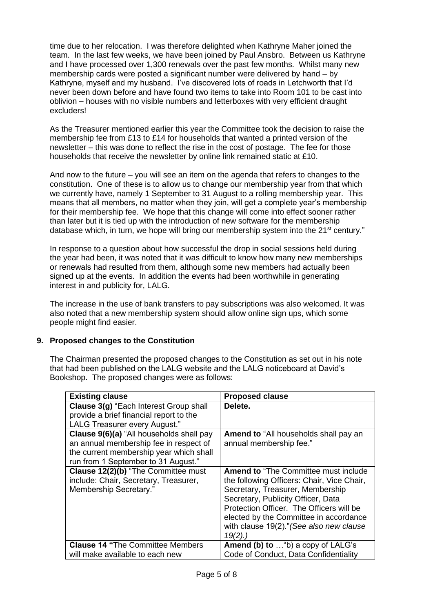time due to her relocation. I was therefore delighted when Kathryne Maher joined the team. In the last few weeks, we have been joined by Paul Ansbro. Between us Kathryne and I have processed over 1,300 renewals over the past few months. Whilst many new membership cards were posted a significant number were delivered by hand – by Kathryne, myself and my husband. I've discovered lots of roads in Letchworth that I'd never been down before and have found two items to take into Room 101 to be cast into oblivion – houses with no visible numbers and letterboxes with very efficient draught excluders!

As the Treasurer mentioned earlier this year the Committee took the decision to raise the membership fee from £13 to £14 for households that wanted a printed version of the newsletter – this was done to reflect the rise in the cost of postage. The fee for those households that receive the newsletter by online link remained static at £10.

And now to the future – you will see an item on the agenda that refers to changes to the constitution. One of these is to allow us to change our membership year from that which we currently have, namely 1 September to 31 August to a rolling membership year. This means that all members, no matter when they join, will get a complete year's membership for their membership fee. We hope that this change will come into effect sooner rather than later but it is tied up with the introduction of new software for the membership database which, in turn, we hope will bring our membership system into the  $21<sup>st</sup>$  century."

In response to a question about how successful the drop in social sessions held during the year had been, it was noted that it was difficult to know how many new memberships or renewals had resulted from them, although some new members had actually been signed up at the events. In addition the events had been worthwhile in generating interest in and publicity for, LALG.

The increase in the use of bank transfers to pay subscriptions was also welcomed. It was also noted that a new membership system should allow online sign ups, which some people might find easier.

# **9. Proposed changes to the Constitution**

The Chairman presented the proposed changes to the Constitution as set out in his note that had been published on the LALG website and the LALG noticeboard at David's Bookshop. The proposed changes were as follows:

| <b>Existing clause</b>                                                                                                                                               | <b>Proposed clause</b>                                                                                                                                                                                                                                                                                           |
|----------------------------------------------------------------------------------------------------------------------------------------------------------------------|------------------------------------------------------------------------------------------------------------------------------------------------------------------------------------------------------------------------------------------------------------------------------------------------------------------|
| Clause 3(g) "Each Interest Group shall<br>provide a brief financial report to the<br>LALG Treasurer every August."                                                   | Delete.                                                                                                                                                                                                                                                                                                          |
| Clause 9(6)(a) "All households shall pay<br>an annual membership fee in respect of<br>the current membership year which shall<br>run from 1 September to 31 August." | <b>Amend to</b> "All households shall pay an<br>annual membership fee."                                                                                                                                                                                                                                          |
| Clause 12(2)(b) "The Committee must<br>include: Chair, Secretary, Treasurer,<br>Membership Secretary."                                                               | <b>Amend to "The Committee must include"</b><br>the following Officers: Chair, Vice Chair,<br>Secretary, Treasurer, Membership<br>Secretary, Publicity Officer, Data<br>Protection Officer. The Officers will be<br>elected by the Committee in accordance<br>with clause 19(2)." (See also new clause<br>19(2). |
| <b>Clause 14 "The Committee Members</b>                                                                                                                              | Amend (b) to  "b) a copy of LALG's                                                                                                                                                                                                                                                                               |
| will make available to each new                                                                                                                                      | Code of Conduct, Data Confidentiality                                                                                                                                                                                                                                                                            |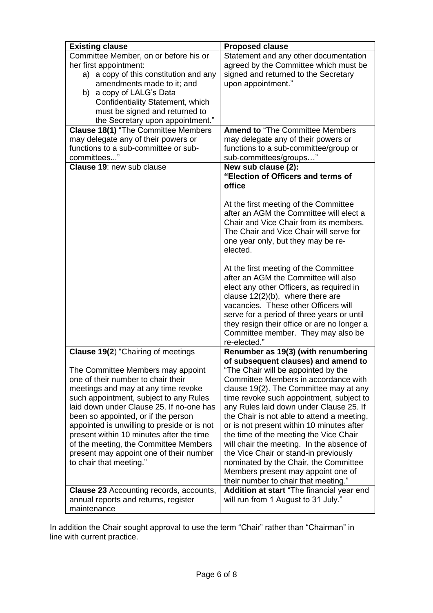| <b>Existing clause</b>                                                                                                                                                                                                                                                                                                                                                                                                                                | <b>Proposed clause</b>                                                                                                                                                                                                                                                                                                                                                                                                                                                                                                                                                                                |
|-------------------------------------------------------------------------------------------------------------------------------------------------------------------------------------------------------------------------------------------------------------------------------------------------------------------------------------------------------------------------------------------------------------------------------------------------------|-------------------------------------------------------------------------------------------------------------------------------------------------------------------------------------------------------------------------------------------------------------------------------------------------------------------------------------------------------------------------------------------------------------------------------------------------------------------------------------------------------------------------------------------------------------------------------------------------------|
| Committee Member, on or before his or                                                                                                                                                                                                                                                                                                                                                                                                                 | Statement and any other documentation                                                                                                                                                                                                                                                                                                                                                                                                                                                                                                                                                                 |
| her first appointment:                                                                                                                                                                                                                                                                                                                                                                                                                                | agreed by the Committee which must be                                                                                                                                                                                                                                                                                                                                                                                                                                                                                                                                                                 |
| a) a copy of this constitution and any                                                                                                                                                                                                                                                                                                                                                                                                                | signed and returned to the Secretary                                                                                                                                                                                                                                                                                                                                                                                                                                                                                                                                                                  |
| amendments made to it; and                                                                                                                                                                                                                                                                                                                                                                                                                            | upon appointment."                                                                                                                                                                                                                                                                                                                                                                                                                                                                                                                                                                                    |
| b) a copy of LALG's Data                                                                                                                                                                                                                                                                                                                                                                                                                              |                                                                                                                                                                                                                                                                                                                                                                                                                                                                                                                                                                                                       |
| Confidentiality Statement, which                                                                                                                                                                                                                                                                                                                                                                                                                      |                                                                                                                                                                                                                                                                                                                                                                                                                                                                                                                                                                                                       |
| must be signed and returned to                                                                                                                                                                                                                                                                                                                                                                                                                        |                                                                                                                                                                                                                                                                                                                                                                                                                                                                                                                                                                                                       |
| the Secretary upon appointment."                                                                                                                                                                                                                                                                                                                                                                                                                      |                                                                                                                                                                                                                                                                                                                                                                                                                                                                                                                                                                                                       |
| <b>Clause 18(1)</b> "The Committee Members                                                                                                                                                                                                                                                                                                                                                                                                            | <b>Amend to "The Committee Members"</b>                                                                                                                                                                                                                                                                                                                                                                                                                                                                                                                                                               |
| may delegate any of their powers or                                                                                                                                                                                                                                                                                                                                                                                                                   | may delegate any of their powers or                                                                                                                                                                                                                                                                                                                                                                                                                                                                                                                                                                   |
| functions to a sub-committee or sub-                                                                                                                                                                                                                                                                                                                                                                                                                  | functions to a sub-committee/group or                                                                                                                                                                                                                                                                                                                                                                                                                                                                                                                                                                 |
| committees"                                                                                                                                                                                                                                                                                                                                                                                                                                           | sub-committees/groups"                                                                                                                                                                                                                                                                                                                                                                                                                                                                                                                                                                                |
| <b>Clause 19: new sub clause</b>                                                                                                                                                                                                                                                                                                                                                                                                                      | New sub clause (2):<br>"Election of Officers and terms of<br>office                                                                                                                                                                                                                                                                                                                                                                                                                                                                                                                                   |
|                                                                                                                                                                                                                                                                                                                                                                                                                                                       | At the first meeting of the Committee<br>after an AGM the Committee will elect a<br>Chair and Vice Chair from its members.<br>The Chair and Vice Chair will serve for<br>one year only, but they may be re-<br>elected.                                                                                                                                                                                                                                                                                                                                                                               |
|                                                                                                                                                                                                                                                                                                                                                                                                                                                       | At the first meeting of the Committee<br>after an AGM the Committee will also<br>elect any other Officers, as required in<br>clause $12(2)(b)$ , where there are<br>vacancies. These other Officers will<br>serve for a period of three years or until<br>they resign their office or are no longer a<br>Committee member. They may also be<br>re-elected."                                                                                                                                                                                                                                           |
| <b>Clause 19(2)</b> "Chairing of meetings                                                                                                                                                                                                                                                                                                                                                                                                             | Renumber as 19(3) (with renumbering                                                                                                                                                                                                                                                                                                                                                                                                                                                                                                                                                                   |
| The Committee Members may appoint<br>one of their number to chair their<br>meetings and may at any time revoke<br>such appointment, subject to any Rules<br>laid down under Clause 25. If no-one has<br>been so appointed, or if the person<br>appointed is unwilling to preside or is not<br>present within 10 minutes after the time<br>of the meeting, the Committee Members<br>present may appoint one of their number<br>to chair that meeting." | of subsequent clauses) and amend to<br>"The Chair will be appointed by the<br>Committee Members in accordance with<br>clause 19(2). The Committee may at any<br>time revoke such appointment, subject to<br>any Rules laid down under Clause 25. If<br>the Chair is not able to attend a meeting,<br>or is not present within 10 minutes after<br>the time of the meeting the Vice Chair<br>will chair the meeting. In the absence of<br>the Vice Chair or stand-in previously<br>nominated by the Chair, the Committee<br>Members present may appoint one of<br>their number to chair that meeting." |
| <b>Clause 23 Accounting records, accounts,</b><br>annual reports and returns, register                                                                                                                                                                                                                                                                                                                                                                | Addition at start "The financial year end<br>will run from 1 August to 31 July."                                                                                                                                                                                                                                                                                                                                                                                                                                                                                                                      |
| maintenance                                                                                                                                                                                                                                                                                                                                                                                                                                           |                                                                                                                                                                                                                                                                                                                                                                                                                                                                                                                                                                                                       |

In addition the Chair sought approval to use the term "Chair" rather than "Chairman" in line with current practice.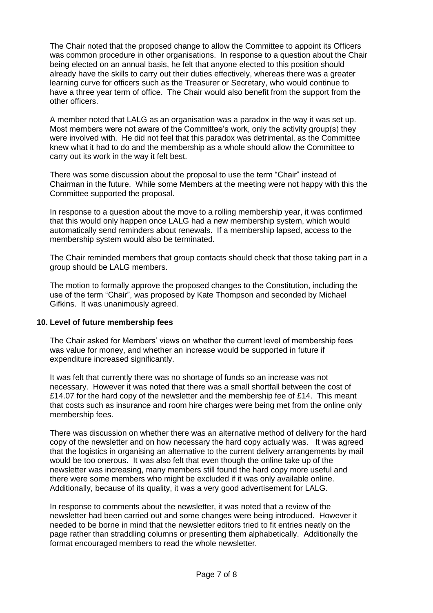The Chair noted that the proposed change to allow the Committee to appoint its Officers was common procedure in other organisations. In response to a question about the Chair being elected on an annual basis, he felt that anyone elected to this position should already have the skills to carry out their duties effectively, whereas there was a greater learning curve for officers such as the Treasurer or Secretary, who would continue to have a three year term of office. The Chair would also benefit from the support from the other officers.

A member noted that LALG as an organisation was a paradox in the way it was set up. Most members were not aware of the Committee's work, only the activity group(s) they were involved with. He did not feel that this paradox was detrimental, as the Committee knew what it had to do and the membership as a whole should allow the Committee to carry out its work in the way it felt best.

There was some discussion about the proposal to use the term "Chair" instead of Chairman in the future. While some Members at the meeting were not happy with this the Committee supported the proposal.

In response to a question about the move to a rolling membership year, it was confirmed that this would only happen once LALG had a new membership system, which would automatically send reminders about renewals. If a membership lapsed, access to the membership system would also be terminated.

The Chair reminded members that group contacts should check that those taking part in a group should be LALG members.

The motion to formally approve the proposed changes to the Constitution, including the use of the term "Chair", was proposed by Kate Thompson and seconded by Michael Gifkins. It was unanimously agreed.

#### **10. Level of future membership fees**

The Chair asked for Members' views on whether the current level of membership fees was value for money, and whether an increase would be supported in future if expenditure increased significantly.

It was felt that currently there was no shortage of funds so an increase was not necessary. However it was noted that there was a small shortfall between the cost of £14.07 for the hard copy of the newsletter and the membership fee of £14. This meant that costs such as insurance and room hire charges were being met from the online only membership fees.

There was discussion on whether there was an alternative method of delivery for the hard copy of the newsletter and on how necessary the hard copy actually was. It was agreed that the logistics in organising an alternative to the current delivery arrangements by mail would be too onerous. It was also felt that even though the online take up of the newsletter was increasing, many members still found the hard copy more useful and there were some members who might be excluded if it was only available online. Additionally, because of its quality, it was a very good advertisement for LALG.

In response to comments about the newsletter, it was noted that a review of the newsletter had been carried out and some changes were being introduced. However it needed to be borne in mind that the newsletter editors tried to fit entries neatly on the page rather than straddling columns or presenting them alphabetically. Additionally the format encouraged members to read the whole newsletter.